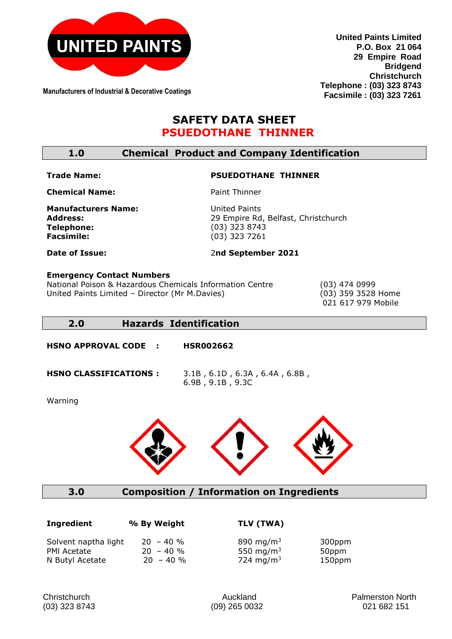

**Manufacturers of Industrial & Decorative Coatings**

**United Paints Limited P.O. Box 21 064 29 Empire Road Bridgend Christchurch Telephone : (03) 323 8743 Facsimile : (03) 323 7261**

# **SAFETY DATA SHEET PSUEDOTHANE THINNER**

**1.0 Chemical Product and Company Identification**

#### **Trade Name:**

# **PSUEDOTHANE THINNER**

2**nd September 2021**

**Chemical Name:** 

Paint Thinner

**Manufacturers Name: Address: Telephone: Facsimile:** 

United Paints 29 Empire Rd, Belfast, Christchurch (03) 323 8743 (03) 323 7261

**Date of Issue:** 

# **Emergency Contact Numbers**

National Poison & Hazardous Chemicals Information Centre (03) 474 0999 United Paints Limited – Director (Mr M.Davies) (03) 359 3528 Home

021 617 979 Mobile

# **2.0 Hazards Identification**

**HSNO APPROVAL CODE : HSR002662** 

**HSNO CLASSIFICATIONS :** 3.1B , 6.1D , 6.3A , 6.4A , 6.8B , 6.9B , 9.1B , 9.3C

Warning



**3.0 Composition / Information on Ingredients**

| Ingredient                          | % By Weight                | TLV (TWA)                                      |
|-------------------------------------|----------------------------|------------------------------------------------|
| Solvent naptha light<br>PMI Acetate | $20 - 40 %$<br>$20 - 40 %$ | 890 mg/m <sup>3</sup><br>550 mg/m <sup>3</sup> |
| N Butyl Acetate                     | $20 - 40 \%$               | 724 mg/m <sup>3</sup>                          |

**I**ngaration and the MEV (TWA)

 300ppm 50ppm 150ppm

Christchurch Auckland Palmerston North (03) 323 8743 (09) 265 0032 021 682 151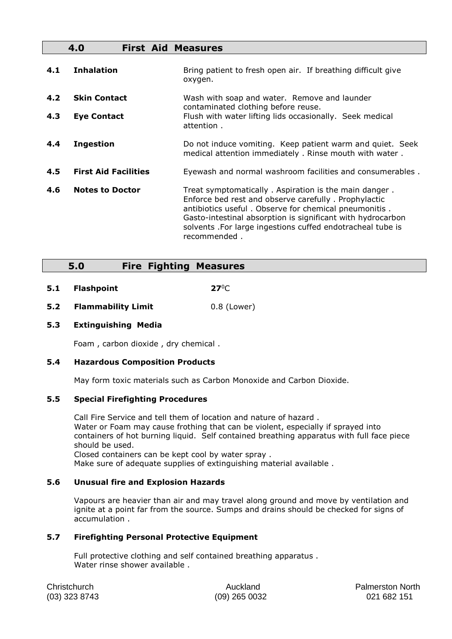|            | 4.0                                       | <b>First Aid Measures</b>                                                                                                                                                                                                                                                                                            |
|------------|-------------------------------------------|----------------------------------------------------------------------------------------------------------------------------------------------------------------------------------------------------------------------------------------------------------------------------------------------------------------------|
| 4.1        | <b>Inhalation</b>                         | Bring patient to fresh open air. If breathing difficult give<br>oxygen.                                                                                                                                                                                                                                              |
| 4.2<br>4.3 | <b>Skin Contact</b><br><b>Eye Contact</b> | Wash with soap and water. Remove and launder<br>contaminated clothing before reuse.<br>Flush with water lifting lids occasionally. Seek medical<br>attention.                                                                                                                                                        |
| 4.4        | <b>Ingestion</b>                          | Do not induce vomiting. Keep patient warm and quiet. Seek<br>medical attention immediately. Rinse mouth with water.                                                                                                                                                                                                  |
| 4.5        | <b>First Aid Facilities</b>               | Eyewash and normal washroom facilities and consumerables.                                                                                                                                                                                                                                                            |
| 4.6        | <b>Notes to Doctor</b>                    | Treat symptomatically. Aspiration is the main danger.<br>Enforce bed rest and observe carefully. Prophylactic<br>antibiotics useful. Observe for chemical pneumonitis.<br>Gasto-intestinal absorption is significant with hydrocarbon<br>solvents . For large ingestions cuffed endotracheal tube is<br>recommended. |

## **5.0 Fire Fighting Measures**

- **5.1 Flashpoint 27°C**
- **5.2 Flammability Limit** 0.8 (Lower)

#### **5.3 Extinguishing Media**

Foam , carbon dioxide , dry chemical .

#### **5.4 Hazardous Composition Products**

May form toxic materials such as Carbon Monoxide and Carbon Dioxide.

#### **5.5 Special Firefighting Procedures**

Call Fire Service and tell them of location and nature of hazard . Water or Foam may cause frothing that can be violent, especially if sprayed into containers of hot burning liquid. Self contained breathing apparatus with full face piece should be used.

Closed containers can be kept cool by water spray .

Make sure of adequate supplies of extinguishing material available .

#### **5.6 Unusual fire and Explosion Hazards**

Vapours are heavier than air and may travel along ground and move by ventilation and ignite at a point far from the source. Sumps and drains should be checked for signs of accumulation .

#### **5.7 Firefighting Personal Protective Equipment**

Full protective clothing and self contained breathing apparatus . Water rinse shower available .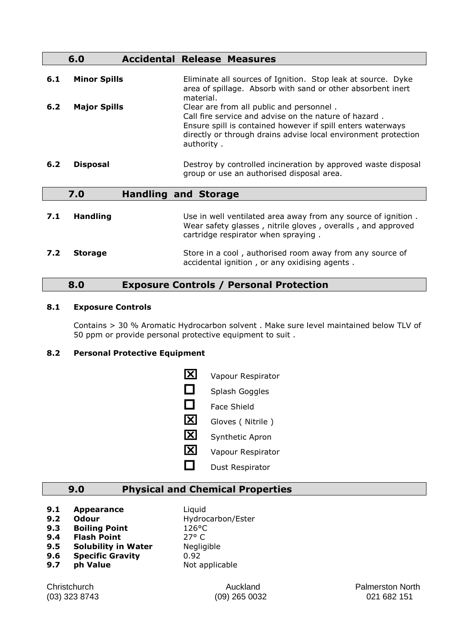|     | 6.0                 | <b>Accidental Release Measures</b>                                                                                                                                                                                                               |
|-----|---------------------|--------------------------------------------------------------------------------------------------------------------------------------------------------------------------------------------------------------------------------------------------|
| 6.1 | <b>Minor Spills</b> | Eliminate all sources of Ignition. Stop leak at source. Dyke<br>area of spillage. Absorb with sand or other absorbent inert<br>material.                                                                                                         |
| 6.2 | <b>Major Spills</b> | Clear are from all public and personnel.<br>Call fire service and advise on the nature of hazard.<br>Ensure spill is contained however if spill enters waterways<br>directly or through drains advise local environment protection<br>authority. |
| 6.2 | <b>Disposal</b>     | Destroy by controlled incineration by approved waste disposal<br>group or use an authorised disposal area.                                                                                                                                       |
|     | 7.0                 | <b>Handling and Storage</b>                                                                                                                                                                                                                      |
| 7.1 | <b>Handling</b>     | Use in well ventilated area away from any source of ignition.<br>Wear safety glasses, nitrile gloves, overalls, and approved<br>cartridge respirator when spraying.                                                                              |
| 7.2 | <b>Storage</b>      | Store in a cool, authorised room away from any source of<br>accidental ignition, or any oxidising agents.                                                                                                                                        |

## **8.0 Exposure Controls / Personal Protection**

#### **8.1 Exposure Controls**

Contains > 30 % Aromatic Hydrocarbon solvent . Make sure level maintained below TLV of 50 ppm or provide personal protective equipment to suit .

### **8.2 Personal Protective Equipment**

| ΙXΙ    | Vapour Respirator  |
|--------|--------------------|
| $\Box$ | Splash Goggles     |
| $\Box$ | <b>Face Shield</b> |
| ΙXΙ    | Gloves (Nitrile)   |
| X      | Synthetic Apron    |

- **X** Vapour Respirator
- $\Box$  Dust Respirator

# **9.0 Physical and Chemical Properties**

- **9.1 Appearance** Liquid<br>**9.2 Odour** Hydrod
- 
- **9.3 Boiling Point** 126°C
- **9.4 Flash Point** 27° C
- **9.5 Solubility in Water** Negligible
- **9.6 Specific Gravity** 0.92
- **9.7 ph Value** Not applicable
- **9.2 Odour** Hydrocarbon/Ester

Christchurch **Auckland Auckland Palmerston North** (03) 323 8743 (09) 265 0032 021 682 151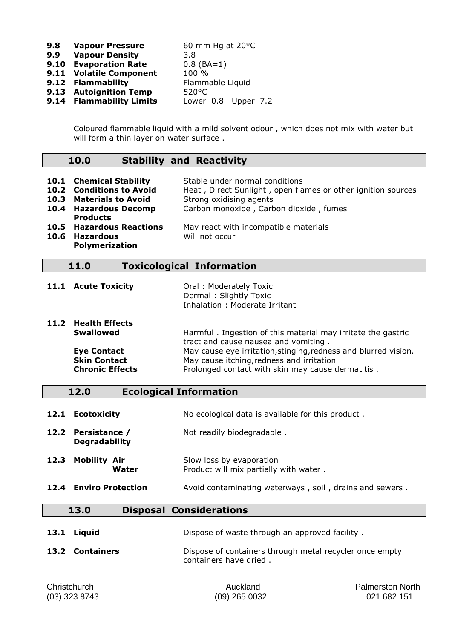| 9.8 | <b>Vapour Pressure</b>   | 60 mm Hg at $20^{\circ}$ C |
|-----|--------------------------|----------------------------|
| 9.9 | <b>Vapour Density</b>    | 3.8                        |
|     | 9.10 Evaporation Rate    | $0.8$ (BA=1)               |
|     | 9.11 Volatile Component  | 100 %                      |
|     | 9.12 Flammability        | Flammable Liquid           |
|     | 9.13 Autoignition Temp   | $520^{\circ}$ C            |
|     | 9.14 Flammability Limits | Lower 0.8 Upper 7.2        |

Coloured flammable liquid with a mild solvent odour , which does not mix with water but will form a thin layer on water surface.

### **10.0 Stability and Reactivity**

|      | 10.1 Chemical Stability<br>10.2 Conditions to Avoid<br>10.3 Materials to Avoid<br>10.4 Hazardous Decomp<br><b>Products</b> | Stable under normal conditions<br>Heat, Direct Sunlight, open flames or other ignition sources<br>Strong oxidising agents<br>Carbon monoxide, Carbon dioxide, fumes |
|------|----------------------------------------------------------------------------------------------------------------------------|---------------------------------------------------------------------------------------------------------------------------------------------------------------------|
| 10.6 | <b>10.5 Hazardous Reactions</b><br>Hazardous<br>Polymerization                                                             | May react with incompatible materials<br>Will not occur                                                                                                             |

# **11.0 Toxicological Information**

| 11.1 Acute Toxicity | Oral: Moderately Toxic        |
|---------------------|-------------------------------|
|                     | Dermal: Slightly Toxic        |
|                     | Inhalation: Moderate Irritant |

| 11.2 Health Effects    |                                                                 |
|------------------------|-----------------------------------------------------------------|
| <b>Swallowed</b>       | Harmful. Ingestion of this material may irritate the gastric    |
|                        | tract and cause nausea and vomiting.                            |
| <b>Eye Contact</b>     | May cause eye irritation, stinging, redness and blurred vision. |
| <b>Skin Contact</b>    | May cause itching, redness and irritation                       |
| <b>Chronic Effects</b> | Prolonged contact with skin may cause dermatitis.               |

## **12.0 Ecological Information**

| 12.1 Ecotoxicity |  | No ecological data is available for this product. |  |  |  |
|------------------|--|---------------------------------------------------|--|--|--|
|------------------|--|---------------------------------------------------|--|--|--|

12.2 **Persistance /** Not readily biodegradable . **Degradability**

### **12.3 Mobility Air** Slow loss by evaporation<br>**Water** Product will mix partially Product will mix partially with water .

**12.4 Enviro Protection** Avoid contaminating waterways, soil, drains and sewers.

#### **13.0 Disposal Considerations**

| 13.1 Liguid<br>Dispose of waste through an approved facility. |  |
|---------------------------------------------------------------|--|
|---------------------------------------------------------------|--|

**13.2 Containers** Dispose of containers through metal recycler once empty containers have dried .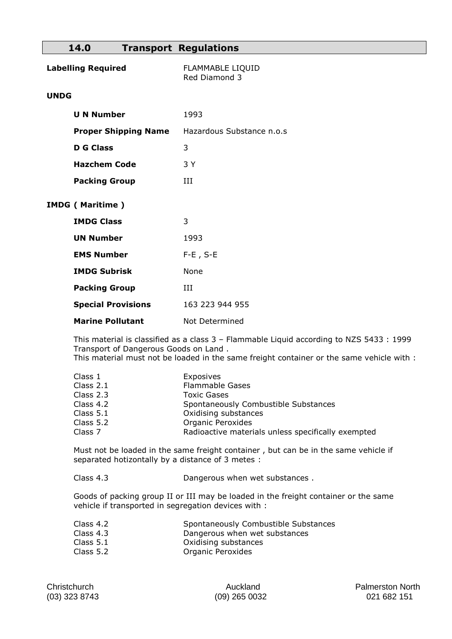## **14.0 Transport Regulations**

| <b>Labelling Required</b>   | <b>FLAMMABLE LIQUID</b><br>Red Diamond 3 |  |
|-----------------------------|------------------------------------------|--|
| <b>UNDG</b>                 |                                          |  |
| <b>U N Number</b>           | 1993                                     |  |
| <b>Proper Shipping Name</b> | Hazardous Substance n.o.s                |  |
| <b>D</b> G Class            | 3                                        |  |
| <b>Hazchem Code</b>         | 3 Y                                      |  |
| <b>Packing Group</b>        | ИI                                       |  |
| <b>IMDG (Maritime)</b>      |                                          |  |
| <b>IMDG Class</b>           | 3                                        |  |
| <b>UN Number</b>            | 1993                                     |  |
| <b>EMS Number</b>           | $F-E$ , $S-E$                            |  |
| <b>IMDG Subrisk</b>         | None                                     |  |
| <b>Packing Group</b>        | ИI                                       |  |
| <b>Special Provisions</b>   | 163 223 944 955                          |  |
| <b>Marine Pollutant</b>     | Not Determined                           |  |

This material is classified as a class 3 – Flammable Liquid according to NZS 5433 : 1999 Transport of Dangerous Goods on Land . This material must not be loaded in the same freight container or the same vehicle with :

| Class 1     | Exposives                                          |
|-------------|----------------------------------------------------|
| Class 2.1   | <b>Flammable Gases</b>                             |
| Class 2.3   | <b>Toxic Gases</b>                                 |
| Class 4.2   | Spontaneously Combustible Substances               |
| Class $5.1$ | Oxidising substances                               |
| Class 5.2   | <b>Organic Peroxides</b>                           |
| Class 7     | Radioactive materials unless specifically exempted |

Must not be loaded in the same freight container , but can be in the same vehicle if separated hotizontally by a distance of 3 metes :

Class 4.3 Dangerous when wet substances .

Goods of packing group II or III may be loaded in the freight container or the same vehicle if transported in segregation devices with :

| Class 4.2   | Spontaneously Combustible Substances |
|-------------|--------------------------------------|
| Class 4.3   | Dangerous when wet substances        |
| Class $5.1$ | Oxidising substances                 |
| --          |                                      |

Class 5.2 Organic Peroxides